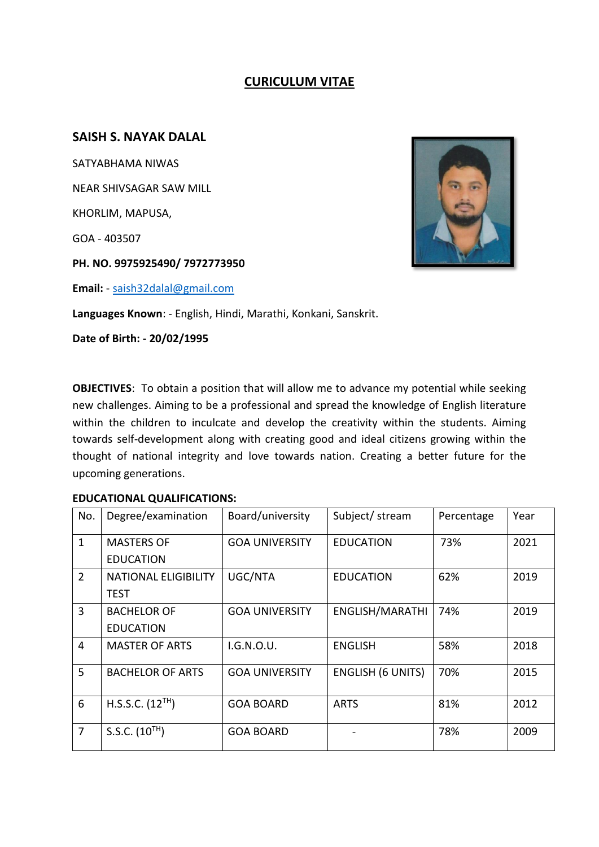# **CURICULUM VITAE**

#### **SAISH S. NAYAK DALAL**

SATYABHAMA NIWAS NEAR SHIVSAGAR SAW MILL KHORLIM, MAPUSA, GOA - 403507 **PH. NO. 9975925490/ 7972773950 Email:** - [saish32dalal@gmail.com](mailto:saish32dalal@gmail.com) **Languages Known**: - English, Hindi, Marathi, Konkani, Sanskrit.

**Date of Birth: - 20/02/1995**



**OBJECTIVES**: To obtain a position that will allow me to advance my potential while seeking new challenges. Aiming to be a professional and spread the knowledge of English literature within the children to inculcate and develop the creativity within the students. Aiming towards self-development along with creating good and ideal citizens growing within the thought of national integrity and love towards nation. Creating a better future for the upcoming generations.

#### **EDUCATIONAL QUALIFICATIONS:**

| No.            | Degree/examination           | Board/university      | Subject/ stream          | Percentage | Year |
|----------------|------------------------------|-----------------------|--------------------------|------------|------|
| $\mathbf{1}$   | <b>MASTERS OF</b>            | <b>GOA UNIVERSITY</b> | <b>EDUCATION</b>         | 73%        | 2021 |
|                | <b>EDUCATION</b>             |                       |                          |            |      |
| $\overline{2}$ | <b>NATIONAL ELIGIBILITY</b>  | UGC/NTA               | <b>EDUCATION</b>         | 62%        | 2019 |
|                | <b>TEST</b>                  |                       |                          |            |      |
| $\overline{3}$ | <b>BACHELOR OF</b>           | <b>GOA UNIVERSITY</b> | <b>ENGLISH/MARATHI</b>   | 74%        | 2019 |
|                | <b>EDUCATION</b>             |                       |                          |            |      |
| 4              | <b>MASTER OF ARTS</b>        | I.G.N.O.U.            | <b>ENGLISH</b>           | 58%        | 2018 |
|                |                              |                       |                          |            |      |
| 5              | <b>BACHELOR OF ARTS</b>      | <b>GOA UNIVERSITY</b> | <b>ENGLISH (6 UNITS)</b> | 70%        | 2015 |
|                |                              |                       |                          |            |      |
| 6              | H.S.S.C. (12 <sup>TH</sup> ) | <b>GOA BOARD</b>      | <b>ARTS</b>              | 81%        | 2012 |
|                |                              |                       |                          |            |      |
| $\overline{7}$ | S.S.C. (10 <sup>TH</sup> )   | <b>GOA BOARD</b>      |                          | 78%        | 2009 |
|                |                              |                       |                          |            |      |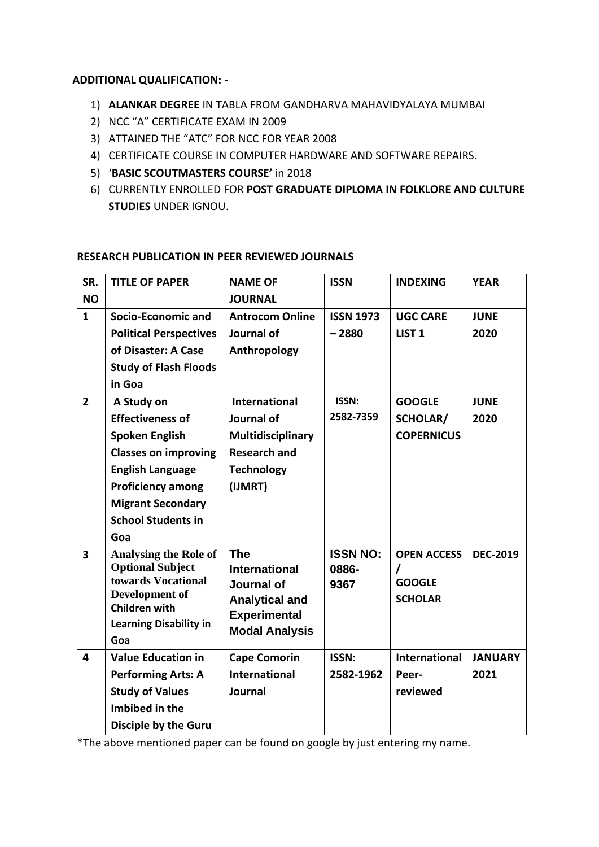## **ADDITIONAL QUALIFICATION: -**

- 1) **ALANKAR DEGREE** IN TABLA FROM GANDHARVA MAHAVIDYALAYA MUMBAI
- 2) NCC "A" CERTIFICATE EXAM IN 2009
- 3) ATTAINED THE "ATC" FOR NCC FOR YEAR 2008
- 4) CERTIFICATE COURSE IN COMPUTER HARDWARE AND SOFTWARE REPAIRS.
- 5) '**BASIC SCOUTMASTERS COURSE'** in 2018
- 6) CURRENTLY ENROLLED FOR **POST GRADUATE DIPLOMA IN FOLKLORE AND CULTURE STUDIES** UNDER IGNOU.

#### **SR. NO TITLE OF PAPER NAME OF JOURNAL ISSN INDEXING YEAR 1 Socio-Economic and Political Perspectives of Disaster: A Case Study of Flash Floods in Goa Antrocom Online Journal of Anthropology ISSN 1973 – 2880 UGC CARE LIST 1 JUNE 2020 2 A Study on Effectiveness of Spoken English Classes on improving English Language Proficiency among Migrant Secondary School Students in Goa International Journal of Multidisciplinary Research and Technology (IJMRT) ISSN: 2582-7359 GOOGLE SCHOLAR/ COPERNICUS JUNE 2020 3 Analysing the Role of Optional Subject towards Vocational Development of Children with Learning Disability in Goa The International Journal of Analytical and Experimental Modal Analysis ISSN NO: 0886- 9367 OPEN ACCESS / GOOGLE SCHOLAR DEC-2019 4 Value Education in Performing Arts: A Study of Values Imbibed in the Disciple by the Guru Cape Comorin International Journal ISSN: 2582-1962 International Peerreviewed JANUARY 2021**

# **RESEARCH PUBLICATION IN PEER REVIEWED JOURNALS**

\*The above mentioned paper can be found on google by just entering my name.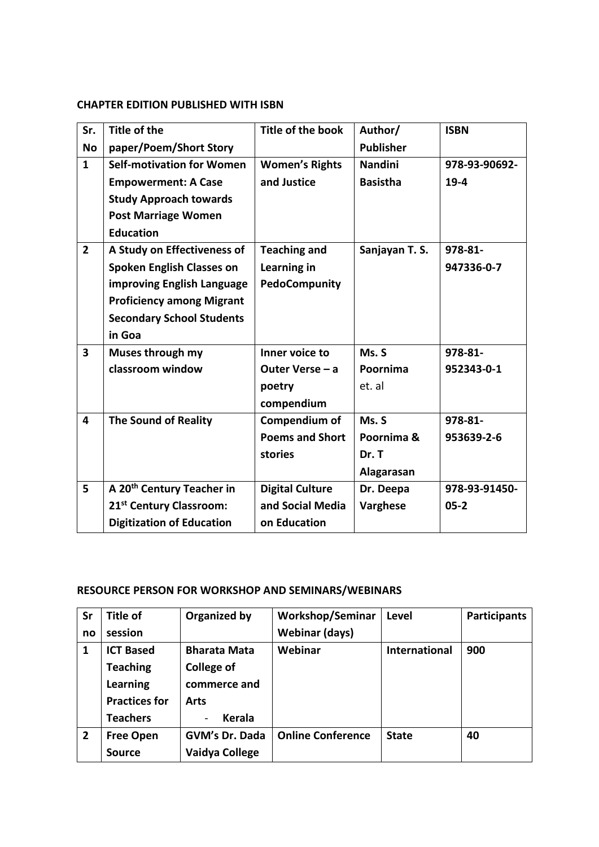## **CHAPTER EDITION PUBLISHED WITH ISBN**

| Sr.                     | <b>Title of the</b>                   | Title of the book      | Author/          | <b>ISBN</b>   |
|-------------------------|---------------------------------------|------------------------|------------------|---------------|
| <b>No</b>               | paper/Poem/Short Story                |                        | <b>Publisher</b> |               |
| $\mathbf{1}$            | <b>Self-motivation for Women</b>      | <b>Women's Rights</b>  | <b>Nandini</b>   | 978-93-90692- |
|                         | <b>Empowerment: A Case</b>            | and Justice            | <b>Basistha</b>  | $19-4$        |
|                         | <b>Study Approach towards</b>         |                        |                  |               |
|                         | <b>Post Marriage Women</b>            |                        |                  |               |
|                         | <b>Education</b>                      |                        |                  |               |
| $\overline{2}$          | A Study on Effectiveness of           | <b>Teaching and</b>    | Sanjayan T.S.    | 978-81-       |
|                         | <b>Spoken English Classes on</b>      | Learning in            |                  | 947336-0-7    |
|                         | improving English Language            | PedoCompunity          |                  |               |
|                         | <b>Proficiency among Migrant</b>      |                        |                  |               |
|                         | <b>Secondary School Students</b>      |                        |                  |               |
|                         | in Goa                                |                        |                  |               |
| $\overline{\mathbf{3}}$ | <b>Muses through my</b>               | Inner voice to         | Ms. S            | 978-81-       |
|                         | classroom window                      | Outer Verse - a        | Poornima         | 952343-0-1    |
|                         |                                       | poetry                 | et. al           |               |
|                         |                                       | compendium             |                  |               |
| 4                       | <b>The Sound of Reality</b>           | Compendium of          | Ms. S            | 978-81-       |
|                         |                                       | <b>Poems and Short</b> | Poornima &       | 953639-2-6    |
|                         |                                       | stories                | Dr. T            |               |
|                         |                                       |                        | Alagarasan       |               |
| 5                       | A 20 <sup>th</sup> Century Teacher in | <b>Digital Culture</b> | Dr. Deepa        | 978-93-91450- |
|                         | 21 <sup>st</sup> Century Classroom:   | and Social Media       | Varghese         | $05 - 2$      |
|                         | <b>Digitization of Education</b>      | on Education           |                  |               |

# **RESOURCE PERSON FOR WORKSHOP AND SEMINARS/WEBINARS**

| Sr             | Title of             | Organized by                              | <b>Workshop/Seminar</b>  | Level         | <b>Participants</b> |
|----------------|----------------------|-------------------------------------------|--------------------------|---------------|---------------------|
| no             | session              |                                           | <b>Webinar (days)</b>    |               |                     |
| 1              | <b>ICT Based</b>     | <b>Bharata Mata</b>                       | Webinar                  | International | 900                 |
|                | <b>Teaching</b>      | <b>College of</b>                         |                          |               |                     |
|                | <b>Learning</b>      | commerce and                              |                          |               |                     |
|                | <b>Practices for</b> | Arts                                      |                          |               |                     |
|                | <b>Teachers</b>      | <b>Kerala</b><br>$\overline{\phantom{a}}$ |                          |               |                     |
| $\overline{2}$ | <b>Free Open</b>     | <b>GVM's Dr. Dada</b>                     | <b>Online Conference</b> | <b>State</b>  | 40                  |
|                | <b>Source</b>        | Vaidya College                            |                          |               |                     |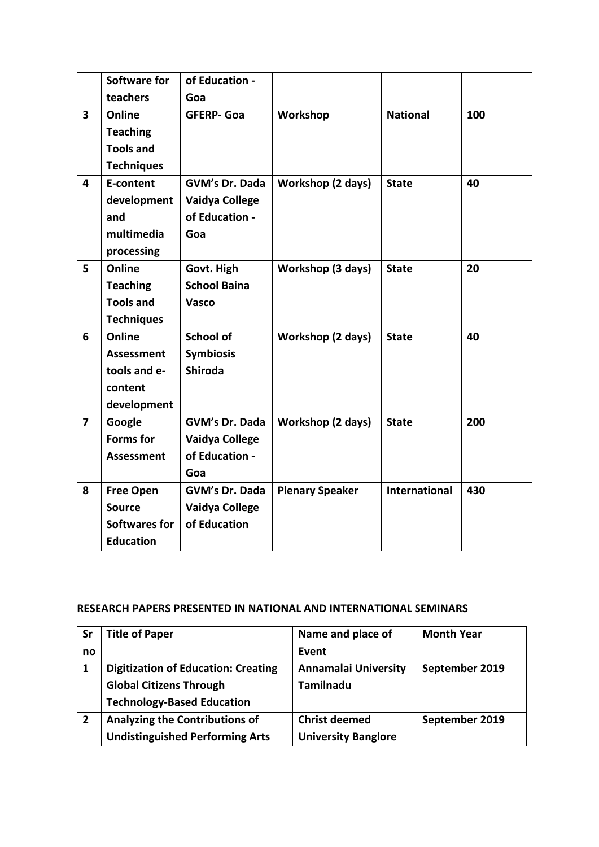|                         | <b>Software for</b> | of Education -        |                        |                      |     |
|-------------------------|---------------------|-----------------------|------------------------|----------------------|-----|
|                         | teachers            | Goa                   |                        |                      |     |
| $\overline{\mathbf{3}}$ | Online              | <b>GFERP- Goa</b>     | Workshop               | <b>National</b>      | 100 |
|                         | <b>Teaching</b>     |                       |                        |                      |     |
|                         | <b>Tools and</b>    |                       |                        |                      |     |
|                         | <b>Techniques</b>   |                       |                        |                      |     |
| 4                       | E-content           | GVM's Dr. Dada        | Workshop (2 days)      | <b>State</b>         | 40  |
|                         | development         | <b>Vaidya College</b> |                        |                      |     |
|                         | and                 | of Education -        |                        |                      |     |
|                         | multimedia          | Goa                   |                        |                      |     |
|                         | processing          |                       |                        |                      |     |
| 5                       | Online              | Govt. High            | Workshop (3 days)      | <b>State</b>         | 20  |
|                         | <b>Teaching</b>     | <b>School Baina</b>   |                        |                      |     |
|                         | <b>Tools and</b>    | Vasco                 |                        |                      |     |
|                         | <b>Techniques</b>   |                       |                        |                      |     |
| 6                       | Online              | <b>School of</b>      | Workshop (2 days)      | <b>State</b>         | 40  |
|                         | <b>Assessment</b>   | <b>Symbiosis</b>      |                        |                      |     |
|                         | tools and e-        | <b>Shiroda</b>        |                        |                      |     |
|                         | content             |                       |                        |                      |     |
|                         | development         |                       |                        |                      |     |
| $\overline{\mathbf{z}}$ | Google              | GVM's Dr. Dada        | Workshop (2 days)      | <b>State</b>         | 200 |
|                         | <b>Forms</b> for    | <b>Vaidya College</b> |                        |                      |     |
|                         | <b>Assessment</b>   | of Education -        |                        |                      |     |
|                         |                     | Goa                   |                        |                      |     |
| 8                       | <b>Free Open</b>    | GVM's Dr. Dada        | <b>Plenary Speaker</b> | <b>International</b> | 430 |
|                         | <b>Source</b>       | <b>Vaidya College</b> |                        |                      |     |
|                         | Softwares for       | of Education          |                        |                      |     |
|                         | <b>Education</b>    |                       |                        |                      |     |

## **RESEARCH PAPERS PRESENTED IN NATIONAL AND INTERNATIONAL SEMINARS**

| Sr           | <b>Title of Paper</b>                      | Name and place of           | <b>Month Year</b> |
|--------------|--------------------------------------------|-----------------------------|-------------------|
| no           |                                            | Event                       |                   |
| 1            | <b>Digitization of Education: Creating</b> | <b>Annamalai University</b> | September 2019    |
|              | <b>Global Citizens Through</b>             | <b>Tamilnadu</b>            |                   |
|              | <b>Technology-Based Education</b>          |                             |                   |
| $\mathbf{2}$ | Analyzing the Contributions of             | <b>Christ deemed</b>        | September 2019    |
|              | <b>Undistinguished Performing Arts</b>     | <b>University Banglore</b>  |                   |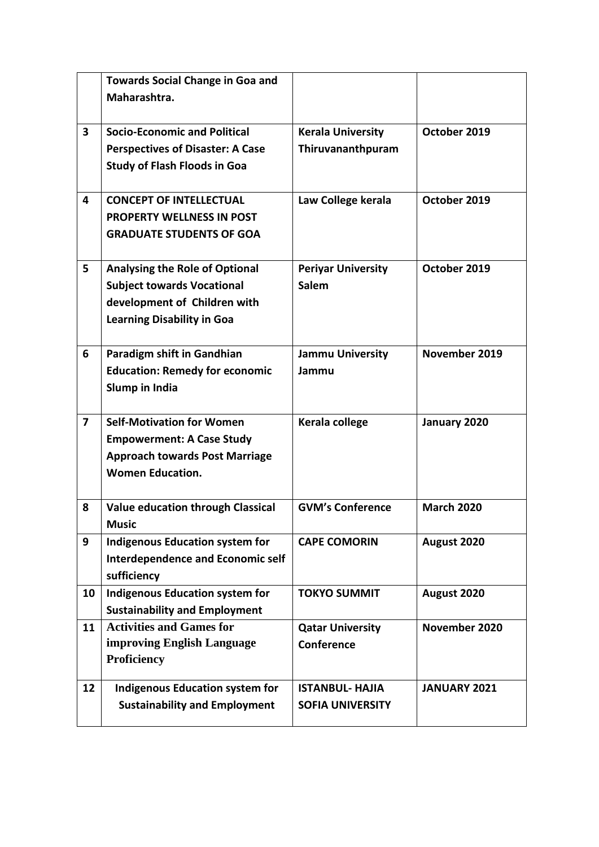|                         | <b>Towards Social Change in Goa and</b>                             |                                  |                     |
|-------------------------|---------------------------------------------------------------------|----------------------------------|---------------------|
|                         | Maharashtra.                                                        |                                  |                     |
|                         |                                                                     |                                  |                     |
| $\overline{\mathbf{3}}$ | <b>Socio-Economic and Political</b>                                 | <b>Kerala University</b>         | October 2019        |
|                         | <b>Perspectives of Disaster: A Case</b>                             | Thiruvananthpuram                |                     |
|                         | <b>Study of Flash Floods in Goa</b>                                 |                                  |                     |
|                         |                                                                     |                                  |                     |
| 4                       | <b>CONCEPT OF INTELLECTUAL</b>                                      | Law College kerala               | October 2019        |
|                         | <b>PROPERTY WELLNESS IN POST</b>                                    |                                  |                     |
|                         | <b>GRADUATE STUDENTS OF GOA</b>                                     |                                  |                     |
|                         |                                                                     |                                  |                     |
| 5                       | Analysing the Role of Optional                                      | <b>Periyar University</b>        | October 2019        |
|                         | <b>Subject towards Vocational</b>                                   | <b>Salem</b>                     |                     |
|                         | development of Children with                                        |                                  |                     |
|                         | <b>Learning Disability in Goa</b>                                   |                                  |                     |
| 6                       |                                                                     |                                  | November 2019       |
|                         | Paradigm shift in Gandhian<br><b>Education: Remedy for economic</b> | <b>Jammu University</b><br>Jammu |                     |
|                         | Slump in India                                                      |                                  |                     |
|                         |                                                                     |                                  |                     |
| $\overline{7}$          | <b>Self-Motivation for Women</b>                                    | Kerala college                   | January 2020        |
|                         | <b>Empowerment: A Case Study</b>                                    |                                  |                     |
|                         | <b>Approach towards Post Marriage</b>                               |                                  |                     |
|                         | <b>Women Education.</b>                                             |                                  |                     |
|                         |                                                                     |                                  |                     |
| 8                       | <b>Value education through Classical</b>                            | <b>GVM's Conference</b>          | <b>March 2020</b>   |
|                         | <b>Music</b>                                                        |                                  |                     |
| 9                       | <b>Indigenous Education system for</b>                              | <b>CAPE COMORIN</b>              | August 2020         |
|                         | <b>Interdependence and Economic self</b>                            |                                  |                     |
|                         | sufficiency                                                         |                                  |                     |
| 10                      | <b>Indigenous Education system for</b>                              | <b>TOKYO SUMMIT</b>              | August 2020         |
|                         | <b>Sustainability and Employment</b>                                |                                  |                     |
| 11                      | <b>Activities and Games for</b>                                     | <b>Qatar University</b>          | November 2020       |
|                         | improving English Language                                          | Conference                       |                     |
|                         | Proficiency                                                         |                                  |                     |
| 12                      | <b>Indigenous Education system for</b>                              | <b>ISTANBUL- HAJIA</b>           | <b>JANUARY 2021</b> |
|                         | <b>Sustainability and Employment</b>                                | <b>SOFIA UNIVERSITY</b>          |                     |
|                         |                                                                     |                                  |                     |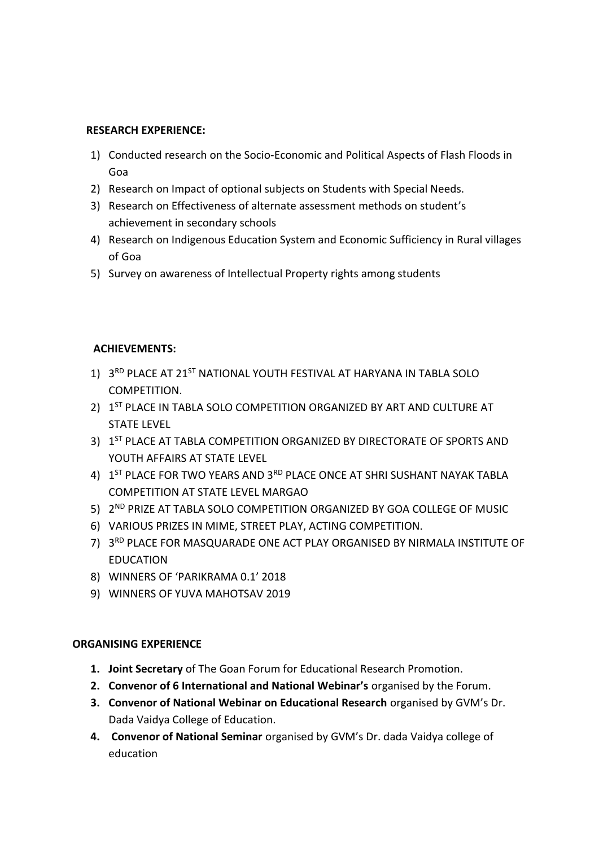#### **RESEARCH EXPERIENCE:**

- 1) Conducted research on the Socio-Economic and Political Aspects of Flash Floods in Goa
- 2) Research on Impact of optional subjects on Students with Special Needs.
- 3) Research on Effectiveness of alternate assessment methods on student's achievement in secondary schools
- 4) Research on Indigenous Education System and Economic Sufficiency in Rural villages of Goa
- 5) Survey on awareness of Intellectual Property rights among students

# **ACHIEVEMENTS:**

- 1) 3RD PLACE AT 21<sup>ST</sup> NATIONAL YOUTH FESTIVAL AT HARYANA IN TABLA SOLO COMPETITION.
- 2) 1<sup>ST</sup> PLACE IN TABLA SOLO COMPETITION ORGANIZED BY ART AND CULTURE AT STATE LEVEL
- 3) 1<sup>ST</sup> PLACE AT TABLA COMPETITION ORGANIZED BY DIRECTORATE OF SPORTS AND YOUTH AFFAIRS AT STATE LEVEL
- 4) 1<sup>ST</sup> PLACE FOR TWO YEARS AND 3<sup>RD</sup> PLACE ONCE AT SHRI SUSHANT NAYAK TABLA COMPETITION AT STATE LEVEL MARGAO
- 5) 2<sup>ND</sup> PRIZE AT TABLA SOLO COMPETITION ORGANIZED BY GOA COLLEGE OF MUSIC
- 6) VARIOUS PRIZES IN MIME, STREET PLAY, ACTING COMPETITION.
- 7) 3<sup>RD</sup> PLACE FOR MASQUARADE ONE ACT PLAY ORGANISED BY NIRMALA INSTITUTE OF EDUCATION
- 8) WINNERS OF 'PARIKRAMA 0.1' 2018
- 9) WINNERS OF YUVA MAHOTSAV 2019

## **ORGANISING EXPERIENCE**

- **1. Joint Secretary** of The Goan Forum for Educational Research Promotion.
- **2. Convenor of 6 International and National Webinar's** organised by the Forum.
- **3. Convenor of National Webinar on Educational Research** organised by GVM's Dr. Dada Vaidya College of Education.
- **4. Convenor of National Seminar** organised by GVM's Dr. dada Vaidya college of education